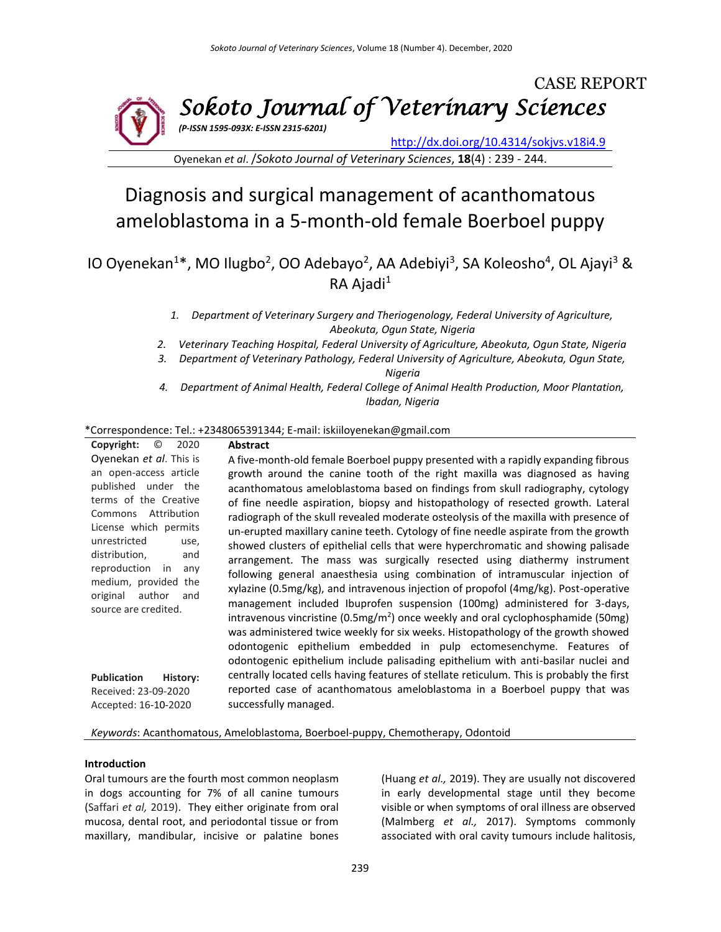

Oyenekan *et al*. /*Sokoto Journal of Veterinary Sciences*, **18**(4) : 239 - 244.

# Diagnosis and surgical management of acanthomatous ameloblastoma in a 5-month-old female Boerboel puppy

IO Oyenekan<sup>1\*</sup>, MO Ilugbo<sup>2</sup>, OO Adebayo<sup>2</sup>, AA Adebiyi<sup>3</sup>, SA Koleosho<sup>4</sup>, OL Ajayi<sup>3</sup> & RA Ajadi<sup>1</sup>

- *1. Department of Veterinary Surgery and Theriogenology, Federal University of Agriculture, Abeokuta, Ogun State, Nigeria*
- *2. Veterinary Teaching Hospital, Federal University of Agriculture, Abeokuta, Ogun State, Nigeria*
- *3. Department of Veterinary Pathology, Federal University of Agriculture, Abeokuta, Ogun State, Nigeria*
- *4. Department of Animal Health, Federal College of Animal Health Production, Moor Plantation, Ibadan, Nigeria*

#### \*Correspondence: Tel.: +2348065391344; E-mail: iskiiloyenekan@gmail.com

| Copyright:<br>$\odot$<br>2020                 | <b>Abstract</b>                                                                              |  |  |  |
|-----------------------------------------------|----------------------------------------------------------------------------------------------|--|--|--|
| Oyenekan et al. This is                       | A five-month-old female Boerboel puppy presented with a rapidly expanding fibrous            |  |  |  |
| an open-access article                        | growth around the canine tooth of the right maxilla was diagnosed as having                  |  |  |  |
| published under the                           | acanthomatous ameloblastoma based on findings from skull radiography, cytology               |  |  |  |
| terms of the Creative                         | of fine needle aspiration, biopsy and histopathology of resected growth. Lateral             |  |  |  |
| Commons Attribution                           | radiograph of the skull revealed moderate osteolysis of the maxilla with presence of         |  |  |  |
| License which permits                         | un-erupted maxillary canine teeth. Cytology of fine needle aspirate from the growth          |  |  |  |
| unrestricted<br>use,<br>distribution,<br>and  | showed clusters of epithelial cells that were hyperchromatic and showing palisade            |  |  |  |
| reproduction<br>in<br>any                     | arrangement. The mass was surgically resected using diathermy instrument                     |  |  |  |
| medium, provided the                          | following general anaesthesia using combination of intramuscular injection of                |  |  |  |
| original<br>author<br>and                     | xylazine (0.5mg/kg), and intravenous injection of propofol (4mg/kg). Post-operative          |  |  |  |
| source are credited.                          | management included Ibuprofen suspension (100mg) administered for 3-days,                    |  |  |  |
|                                               | intravenous vincristine (0.5mg/m <sup>2</sup> ) once weekly and oral cyclophosphamide (50mg) |  |  |  |
|                                               | was administered twice weekly for six weeks. Histopathology of the growth showed             |  |  |  |
|                                               | odontogenic epithelium embedded in pulp ectomesenchyme. Features of                          |  |  |  |
|                                               | odontogenic epithelium include palisading epithelium with anti-basilar nuclei and            |  |  |  |
| <b>Publication</b><br>History:                | centrally located cells having features of stellate reticulum. This is probably the first    |  |  |  |
| Received: 23-09-2020                          | reported case of acanthomatous ameloblastoma in a Boerboel puppy that was                    |  |  |  |
| successfully managed.<br>Accepted: 16-10-2020 |                                                                                              |  |  |  |

*Keywords*: Acanthomatous, Ameloblastoma, Boerboel-puppy, Chemotherapy, Odontoid

#### **Introduction**

Oral tumours are the fourth most common neoplasm in dogs accounting for 7% of all canine tumours (Saffari *et al,* 2019). They either originate from oral mucosa, dental root, and periodontal tissue or from maxillary, mandibular, incisive or palatine bones

(Huang *et al.,* 2019). They are usually not discovered in early developmental stage until they become visible or when symptoms of oral illness are observed (Malmberg *et al.,* 2017). Symptoms commonly associated with oral cavity tumours include halitosis,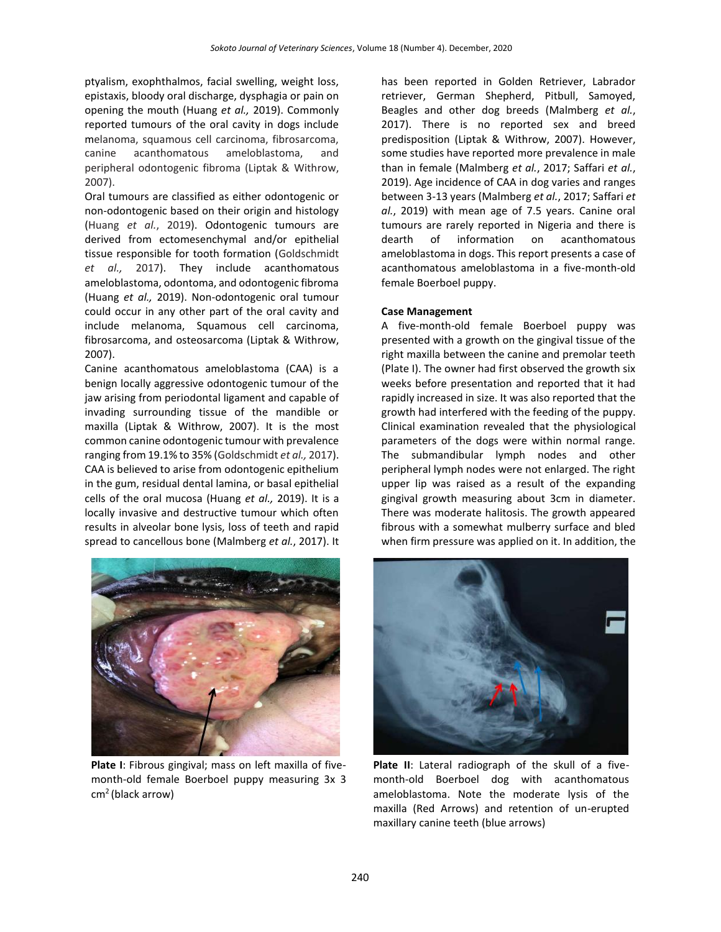ptyalism, exophthalmos, facial swelling, weight loss, epistaxis, bloody oral discharge, dysphagia or pain on opening the mouth (Huang *et al.,* 2019). Commonly reported tumours of the oral cavity in dogs include melanoma, squamous cell carcinoma, fibrosarcoma, canine acanthomatous ameloblastoma, and peripheral odontogenic fibroma (Liptak & Withrow, 2007).

Oral tumours are classified as either odontogenic or non-odontogenic based on their origin and histology (Huang *et al.*, 2019). Odontogenic tumours are derived from ectomesenchymal and/or epithelial tissue responsible for tooth formation (Goldschmidt *et al.,* 2017). They include acanthomatous ameloblastoma, odontoma, and odontogenic fibroma (Huang *et al.,* 2019). Non-odontogenic oral tumour could occur in any other part of the oral cavity and include melanoma, Squamous cell carcinoma, fibrosarcoma, and osteosarcoma (Liptak & Withrow, 2007).

Canine acanthomatous ameloblastoma (CAA) is a benign locally aggressive odontogenic tumour of the jaw arising from periodontal ligament and capable of invading surrounding tissue of the mandible or maxilla (Liptak & Withrow, 2007). It is the most common canine odontogenic tumour with prevalence ranging from 19.1% to 35% (Goldschmidt *et al.,* 2017). CAA is believed to arise from odontogenic epithelium in the gum, residual dental lamina, or basal epithelial cells of the oral mucosa (Huang *et al.,* 2019). It is a locally invasive and destructive tumour which often results in alveolar bone lysis, loss of teeth and rapid spread to cancellous bone (Malmberg *et al.*, 2017). It



**Plate I**: Fibrous gingival; mass on left maxilla of fivemonth-old female Boerboel puppy measuring 3x 3 cm<sup>2</sup>(black arrow)

has been reported in Golden Retriever, Labrador retriever, German Shepherd, Pitbull, Samoyed, Beagles and other dog breeds (Malmberg *et al.*, 2017). There is no reported sex and breed predisposition (Liptak & Withrow, 2007). However, some studies have reported more prevalence in male than in female (Malmberg *et al.*, 2017; Saffari *et al.*, 2019). Age incidence of CAA in dog varies and ranges between 3-13 years (Malmberg *et al.*, 2017; Saffari *et al.*, 2019) with mean age of 7.5 years. Canine oral tumours are rarely reported in Nigeria and there is dearth of information on acanthomatous ameloblastoma in dogs. This report presents a case of acanthomatous ameloblastoma in a five-month-old female Boerboel puppy.

#### **Case Management**

A five-month-old female Boerboel puppy was presented with a growth on the gingival tissue of the right maxilla between the canine and premolar teeth (Plate I). The owner had first observed the growth six weeks before presentation and reported that it had rapidly increased in size. It was also reported that the growth had interfered with the feeding of the puppy. Clinical examination revealed that the physiological parameters of the dogs were within normal range. The submandibular lymph nodes and other peripheral lymph nodes were not enlarged. The right upper lip was raised as a result of the expanding gingival growth measuring about 3cm in diameter. There was moderate halitosis. The growth appeared fibrous with a somewhat mulberry surface and bled when firm pressure was applied on it. In addition, the



**Plate II**: Lateral radiograph of the skull of a fivemonth-old Boerboel dog with acanthomatous ameloblastoma. Note the moderate lysis of the maxilla (Red Arrows) and retention of un-erupted maxillary canine teeth (blue arrows)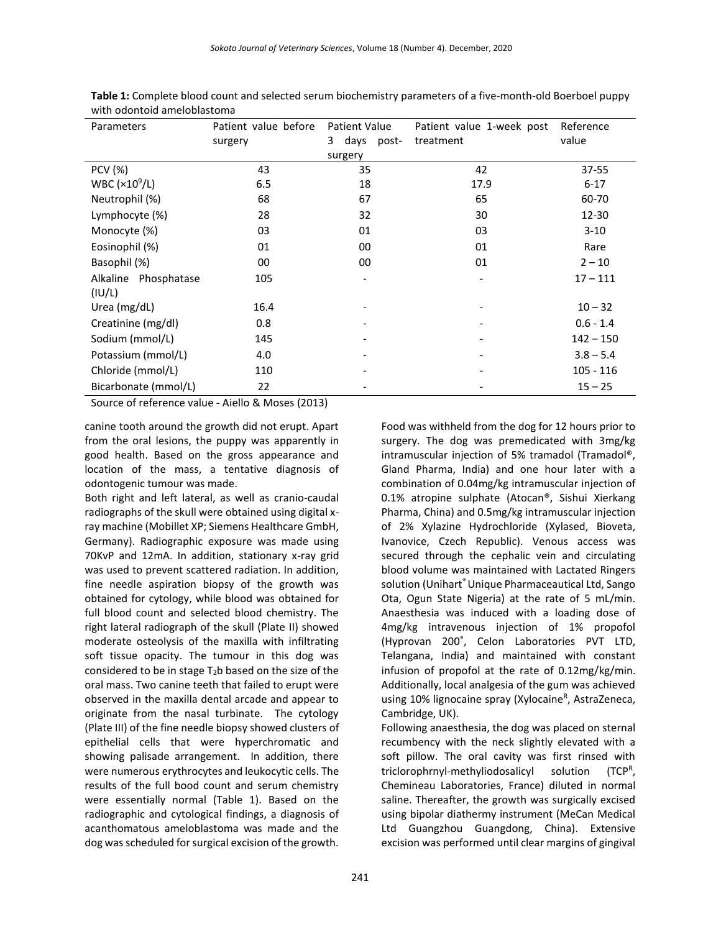| Parameters                         | Patient value before | <b>Patient Value</b> | Patient value 1-week post | Reference   |
|------------------------------------|----------------------|----------------------|---------------------------|-------------|
|                                    | surgery              | 3 days post-         | treatment                 | value       |
|                                    |                      | surgery              |                           |             |
| <b>PCV</b> (%)                     | 43                   | 35                   | 42                        | 37-55       |
| WBC ( $\times$ 10 <sup>9</sup> /L) | 6.5                  | 18                   | 17.9                      | $6 - 17$    |
| Neutrophil (%)                     | 68                   | 67                   | 65                        | 60-70       |
| Lymphocyte (%)                     | 28                   | 32                   | 30                        | 12-30       |
| Monocyte (%)                       | 03                   | 01                   | 03                        | $3 - 10$    |
| Eosinophil (%)                     | 01                   | 00                   | 01                        | Rare        |
| Basophil (%)                       | 00                   | 00                   | 01                        | $2 - 10$    |
| Alkaline Phosphatase               | 105                  |                      |                           | $17 - 111$  |
| (IU/L)                             |                      |                      |                           |             |
| Urea (mg/dL)                       | 16.4                 |                      |                           | $10 - 32$   |
| Creatinine (mg/dl)                 | 0.8                  |                      |                           | $0.6 - 1.4$ |
| Sodium (mmol/L)                    | 145                  |                      |                           | $142 - 150$ |
| Potassium (mmol/L)                 | 4.0                  |                      |                           | $3.8 - 5.4$ |
| Chloride (mmol/L)                  | 110                  |                      |                           | $105 - 116$ |
| Bicarbonate (mmol/L)               | 22                   |                      |                           | $15 - 25$   |

**Table 1:** Complete blood count and selected serum biochemistry parameters of a five-month-old Boerboel puppy with odontoid ameloblastoma

Source of reference value - Aiello & Moses (2013)

canine tooth around the growth did not erupt. Apart from the oral lesions, the puppy was apparently in good health. Based on the gross appearance and location of the mass, a tentative diagnosis of odontogenic tumour was made.

Both right and left lateral, as well as cranio-caudal radiographs of the skull were obtained using digital xray machine (Mobillet XP; Siemens Healthcare GmbH, Germany). Radiographic exposure was made using 70KvP and 12mA. In addition, stationary x-ray grid was used to prevent scattered radiation. In addition, fine needle aspiration biopsy of the growth was obtained for cytology, while blood was obtained for full blood count and selected blood chemistry. The right lateral radiograph of the skull (Plate II) showed moderate osteolysis of the maxilla with infiltrating soft tissue opacity. The tumour in this dog was considered to be in stage T2b based on the size of the oral mass. Two canine teeth that failed to erupt were observed in the maxilla dental arcade and appear to originate from the nasal turbinate. The cytology (Plate III) of the fine needle biopsy showed clusters of epithelial cells that were hyperchromatic and showing palisade arrangement. In addition, there were numerous erythrocytes and leukocytic cells. The results of the full bood count and serum chemistry were essentially normal (Table 1). Based on the radiographic and cytological findings, a diagnosis of acanthomatous ameloblastoma was made and the dog was scheduled for surgical excision of the growth.

Food was withheld from the dog for 12 hours prior to surgery. The dog was premedicated with 3mg/kg intramuscular injection of 5% tramadol (Tramadol®, Gland Pharma, India) and one hour later with a combination of 0.04mg/kg intramuscular injection of 0.1% atropine sulphate (Atocan®, Sishui Xierkang Pharma, China) and 0.5mg/kg intramuscular injection of 2% Xylazine Hydrochloride (Xylased, Bioveta, Ivanovice, Czech Republic). Venous access was secured through the cephalic vein and circulating blood volume was maintained with Lactated Ringers solution (Unihart<sup>®</sup> Unique Pharmaceautical Ltd, Sango Ota, Ogun State Nigeria) at the rate of 5 mL/min. Anaesthesia was induced with a loading dose of 4mg/kg intravenous injection of 1% propofol (Hyprovan 200® , Celon Laboratories PVT LTD, Telangana, India) and maintained with constant infusion of propofol at the rate of 0.12mg/kg/min. Additionally, local analgesia of the gum was achieved using 10% lignocaine spray (Xylocaine<sup>R</sup>, AstraZeneca, Cambridge, UK).

Following anaesthesia, the dog was placed on sternal recumbency with the neck slightly elevated with a soft pillow. The oral cavity was first rinsed with triclorophrnyl-methyliodosalicyl solution (TCPR) Chemineau Laboratories, France) diluted in normal saline. Thereafter, the growth was surgically excised using bipolar diathermy instrument (MeCan Medical Ltd Guangzhou Guangdong, China). Extensive excision was performed until clear margins of gingival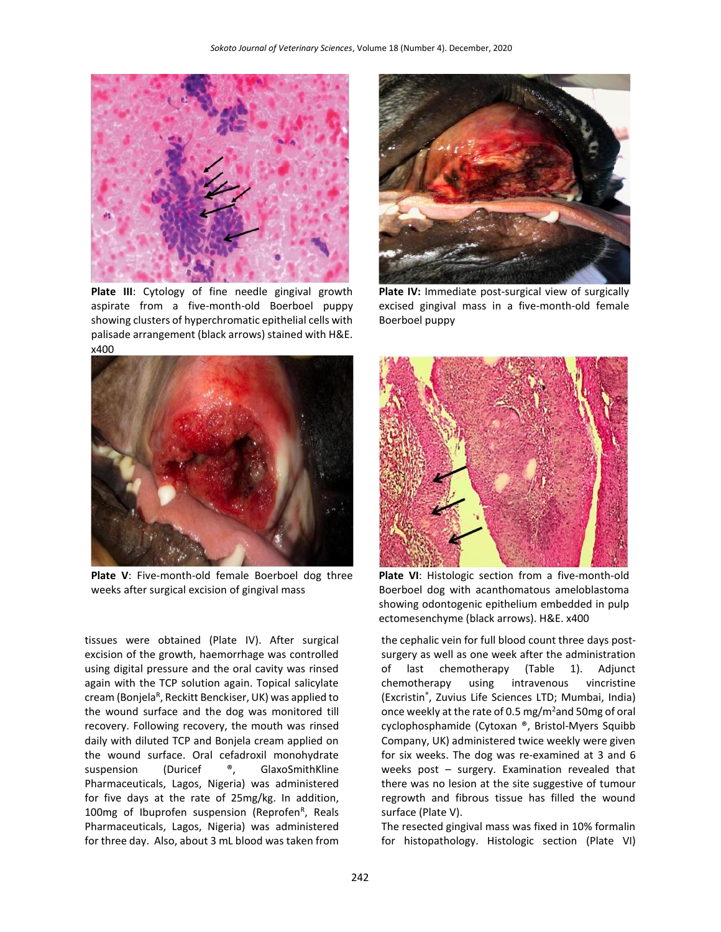

**Plate III**: Cytology of fine needle gingival growth aspirate from a five-month-old Boerboel puppy showing clusters of hyperchromatic epithelial cells with palisade arrangement (black arrows) stained with H&E. x400



**Plate V**: Five-month-old female Boerboel dog three weeks after surgical excision of gingival mass

tissues were obtained (Plate IV). After surgical excision of the growth, haemorrhage was controlled using digital pressure and the oral cavity was rinsed again with the TCP solution again. Topical salicylate cream (Bonjela<sup>r</sup>, Reckitt Benckiser, UK) was applied to the wound surface and the dog was monitored till recovery. Following recovery, the mouth was rinsed daily with diluted TCP and Bonjela cream applied on the wound surface. Oral cefadroxil monohydrate suspension (Duricef ®, GlaxoSmithKline Pharmaceuticals, Lagos, Nigeria) was administered for five days at the rate of 25mg/kg. In addition, 100mg of Ibuprofen suspension (Reprofen<sup>R</sup>, Reals Pharmaceuticals, Lagos, Nigeria) was administered for three day. Also, about 3 mL blood was taken from



**Plate IV:** Immediate post-surgical view of surgically excised gingival mass in a five-month-old female Boerboel puppy



**Plate VI**: Histologic section from a five-month-old Boerboel dog with acanthomatous ameloblastoma showing odontogenic epithelium embedded in pulp ectomesenchyme (black arrows). H&E. x400

the cephalic vein for full blood count three days postsurgery as well as one week after the administration of last chemotherapy (Table 1). Adjunct chemotherapy using intravenous vincristine (Excristin® , Zuvius Life Sciences LTD; Mumbai, India) once weekly at the rate of 0.5 mg/m<sup>2</sup>and 50mg of oral cyclophosphamide (Cytoxan ®, Bristol-Myers Squibb Company, UK) administered twice weekly were given for six weeks. The dog was re-examined at 3 and 6 weeks post – surgery. Examination revealed that there was no lesion at the site suggestive of tumour regrowth and fibrous tissue has filled the wound surface (Plate V).

The resected gingival mass was fixed in 10% formalin for histopathology. Histologic section (Plate VI)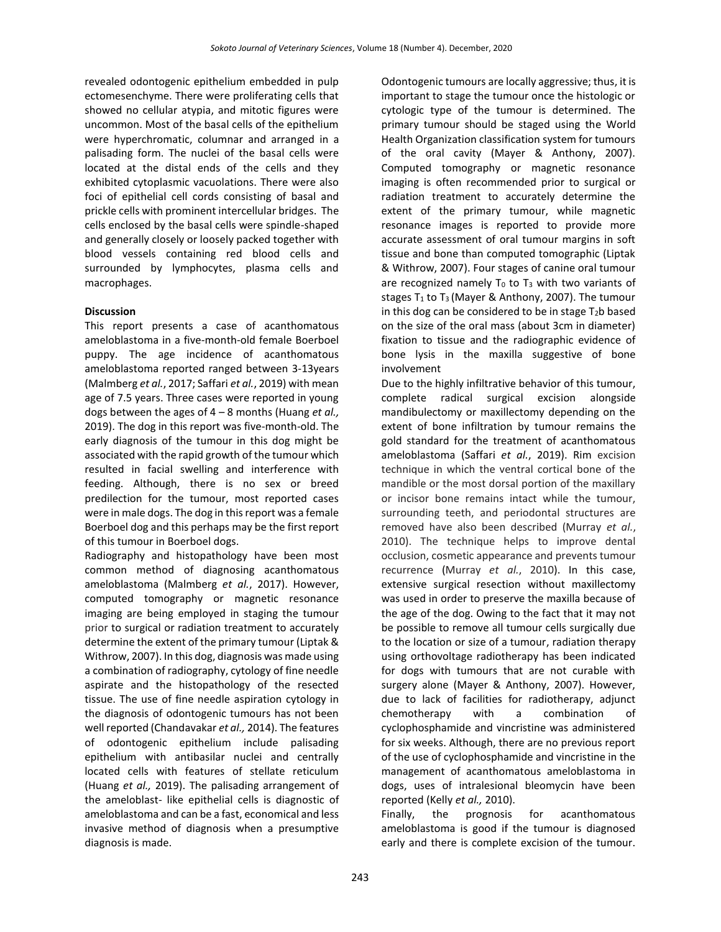revealed odontogenic epithelium embedded in pulp ectomesenchyme. There were proliferating cells that showed no cellular atypia, and mitotic figures were uncommon. Most of the basal cells of the epithelium were hyperchromatic, columnar and arranged in a palisading form. The nuclei of the basal cells were located at the distal ends of the cells and they exhibited cytoplasmic vacuolations. There were also foci of epithelial cell cords consisting of basal and prickle cells with prominent intercellular bridges. The cells enclosed by the basal cells were spindle-shaped and generally closely or loosely packed together with blood vessels containing red blood cells and surrounded by lymphocytes, plasma cells and macrophages.

# **Discussion**

This report presents a case of acanthomatous ameloblastoma in a five-month-old female Boerboel puppy. The age incidence of acanthomatous ameloblastoma reported ranged between 3-13years (Malmberg *et al.*, 2017; Saffari *et al.*, 2019) with mean age of 7.5 years. Three cases were reported in young dogs between the ages of 4 – 8 months (Huang *et al.,* 2019). The dog in this report was five-month-old. The early diagnosis of the tumour in this dog might be associated with the rapid growth of the tumour which resulted in facial swelling and interference with feeding. Although, there is no sex or breed predilection for the tumour, most reported cases were in male dogs. The dog in this report was a female Boerboel dog and this perhaps may be the first report of this tumour in Boerboel dogs.

Radiography and histopathology have been most common method of diagnosing acanthomatous ameloblastoma (Malmberg *et al.*, 2017). However, computed tomography or magnetic resonance imaging are being employed in staging the tumour prior to surgical or radiation treatment to accurately determine the extent of the primary tumour (Liptak & Withrow, 2007). In this dog, diagnosis was made using a combination of radiography, cytology of fine needle aspirate and the histopathology of the resected tissue. The use of fine needle aspiration cytology in the diagnosis of odontogenic tumours has not been well reported (Chandavakar *et al.,* 2014). The features of odontogenic epithelium include palisading epithelium with antibasilar nuclei and centrally located cells with features of stellate reticulum (Huang *et al.,* 2019). The palisading arrangement of the ameloblast- like epithelial cells is diagnostic of ameloblastoma and can be a fast, economical and less invasive method of diagnosis when a presumptive diagnosis is made.

Odontogenic tumours are locally aggressive; thus, it is important to stage the tumour once the histologic or cytologic type of the tumour is determined. The primary tumour should be staged using the World Health Organization classification system for tumours of the oral cavity (Mayer & Anthony, 2007). Computed tomography or magnetic resonance imaging is often recommended prior to surgical or radiation treatment to accurately determine the extent of the primary tumour, while magnetic resonance images is reported to provide more accurate assessment of oral tumour margins in soft tissue and bone than computed tomographic (Liptak & Withrow, 2007). Four stages of canine oral tumour are recognized namely  $T_0$  to  $T_3$  with two variants of stages  $T_1$  to  $T_3$  (Mayer & Anthony, 2007). The tumour in this dog can be considered to be in stage  $T_2$ b based on the size of the oral mass (about 3cm in diameter) fixation to tissue and the radiographic evidence of bone lysis in the maxilla suggestive of bone involvement

Due to the highly infiltrative behavior of this tumour, complete radical surgical excision alongside mandibulectomy or maxillectomy depending on the extent of bone infiltration by tumour remains the gold standard for the treatment of acanthomatous ameloblastoma (Saffari *et al.*, 2019). Rim excision technique in which the ventral cortical bone of the mandible or the most dorsal portion of the maxillary or incisor bone remains intact while the tumour, surrounding teeth, and periodontal structures are removed have also been described (Murray *et al.*, 2010). The technique helps to improve dental occlusion, cosmetic appearance and prevents tumour recurrence (Murray *et al.*, 2010). In this case, extensive surgical resection without maxillectomy was used in order to preserve the maxilla because of the age of the dog. Owing to the fact that it may not be possible to remove all tumour cells surgically due to the location or size of a tumour, radiation therapy using orthovoltage radiotherapy has been indicated for dogs with tumours that are not curable with surgery alone (Mayer & Anthony, 2007). However, due to lack of facilities for radiotherapy, adjunct chemotherapy with a combination of cyclophosphamide and vincristine was administered for six weeks. Although, there are no previous report of the use of cyclophosphamide and vincristine in the management of acanthomatous ameloblastoma in dogs, uses of intralesional bleomycin have been reported (Kelly *et al.,* 2010).

Finally, the prognosis for acanthomatous ameloblastoma is good if the tumour is diagnosed early and there is complete excision of the tumour.